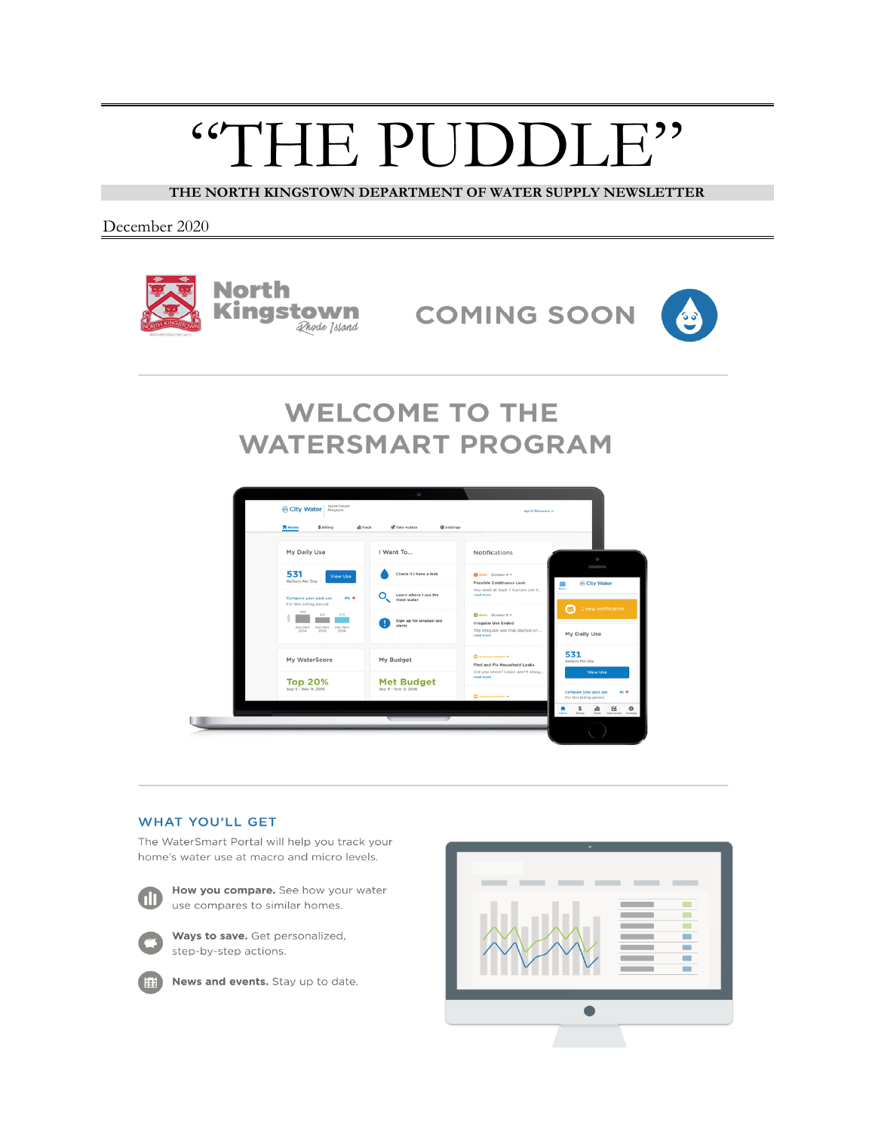## "THE PUDDLE"

**THE NORTH KINGSTOWN DEPARTMENT OF WATER SUPPLY NEWSLETTER**

December 2020



**COMING SOON** 



### **WELCOME TO THE WATERSMART PROGRAM**



#### **WHAT YOU'LL GET**

The WaterSmart Portal will help you track your home's water use at macro and micro levels.



How you compare. See how your water use compares to similar homes.



Ways to save. Get personalized, step-by-step actions.



News and events. Stay up to date.